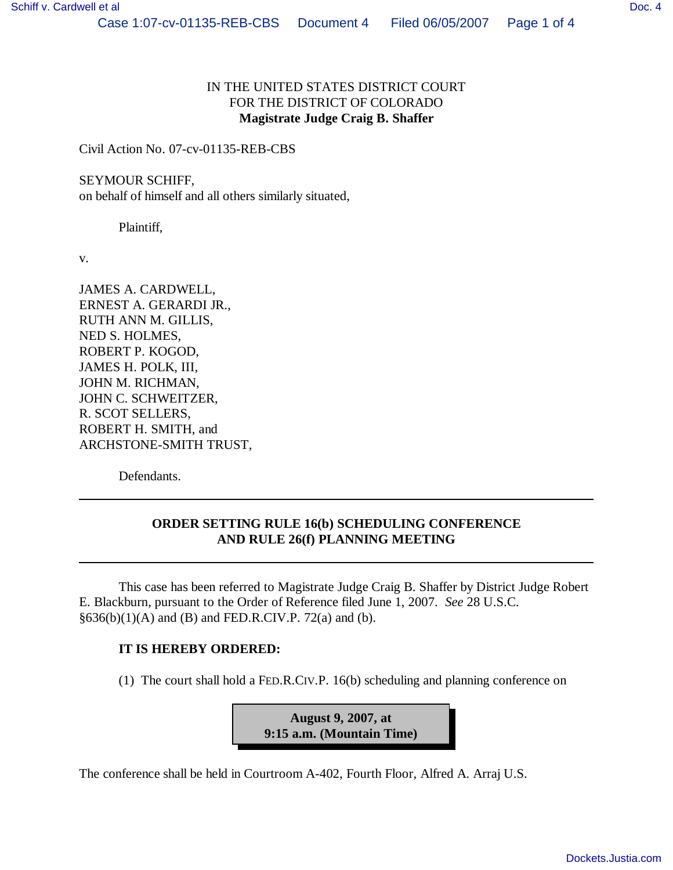## IN THE UNITED STATES DISTRICT COURT FOR THE DISTRICT OF COLORADO **Magistrate Judge Craig B. Shaffer**

Civil Action No. 07-cv-01135-REB-CBS

## SEYMOUR SCHIFF,

on behalf of himself and all others similarly situated,

Plaintiff,

v.

JAMES A. CARDWELL, ERNEST A. GERARDI JR., RUTH ANN M. GILLIS, NED S. HOLMES, ROBERT P. KOGOD, JAMES H. POLK, III, JOHN M. RICHMAN, JOHN C. SCHWEITZER, R. SCOT SELLERS, ROBERT H. SMITH, and ARCHSTONE-SMITH TRUST,

Defendants.

## **ORDER SETTING RULE 16(b) SCHEDULING CONFERENCE AND RULE 26(f) PLANNING MEETING**

This case has been referred to Magistrate Judge Craig B. Shaffer by District Judge Robert E. Blackburn, pursuant to the Order of Reference filed June 1, 2007. *See* 28 U.S.C.  $§636(b)(1)(A)$  and (B) and FED.R.CIV.P. 72(a) and (b).

## **IT IS HEREBY ORDERED:**

(1) The court shall hold a FED.R.CIV.P. 16(b) scheduling and planning conference on

**August 9, 2007, at 9:15 a.m. (Mountain Time)**

The conference shall be held in Courtroom A-402, Fourth Floor, Alfred A. Arraj U.S.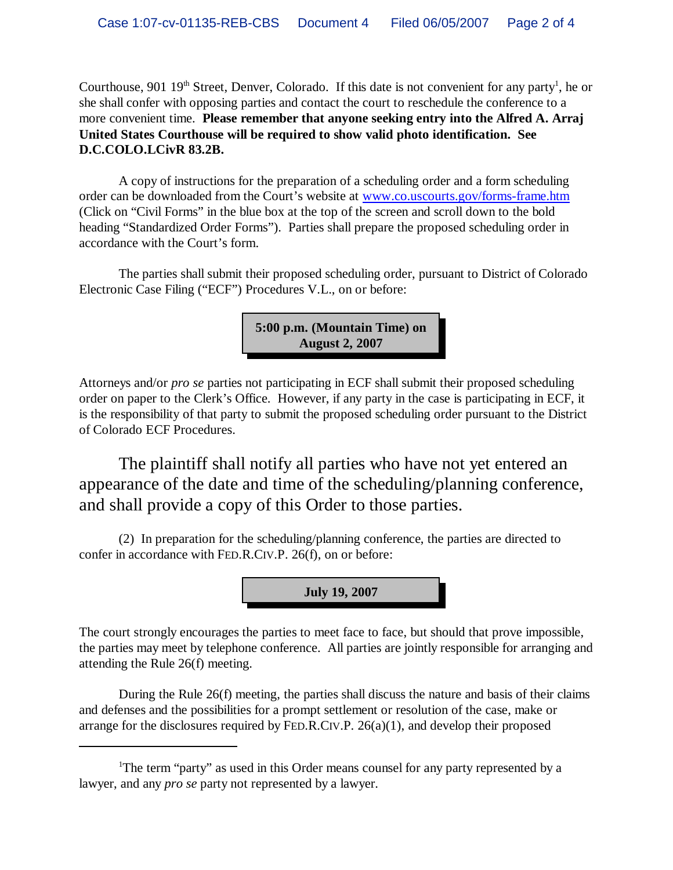Courthouse, 901 19<sup>th</sup> Street, Denver, Colorado. If this date is not convenient for any party<sup>1</sup>, he or she shall confer with opposing parties and contact the court to reschedule the conference to a more convenient time. **Please remember that anyone seeking entry into the Alfred A. Arraj United States Courthouse will be required to show valid photo identification. See D.C.COLO.LCivR 83.2B.**

A copy of instructions for the preparation of a scheduling order and a form scheduling order can be downloaded from the Court's website at www.co.uscourts.gov/forms-frame.htm (Click on "Civil Forms" in the blue box at the top of the screen and scroll down to the bold heading "Standardized Order Forms"). Parties shall prepare the proposed scheduling order in accordance with the Court's form.

The parties shall submit their proposed scheduling order, pursuant to District of Colorado Electronic Case Filing ("ECF") Procedures V.L., on or before:

> **5:00 p.m. (Mountain Time) on August 2, 2007**

Attorneys and/or *pro se* parties not participating in ECF shall submit their proposed scheduling order on paper to the Clerk's Office. However, if any party in the case is participating in ECF, it is the responsibility of that party to submit the proposed scheduling order pursuant to the District of Colorado ECF Procedures.

The plaintiff shall notify all parties who have not yet entered an appearance of the date and time of the scheduling/planning conference, and shall provide a copy of this Order to those parties.

(2) In preparation for the scheduling/planning conference, the parties are directed to confer in accordance with FED.R.CIV.P. 26(f), on or before:

**July 19, 2007**

The court strongly encourages the parties to meet face to face, but should that prove impossible, the parties may meet by telephone conference. All parties are jointly responsible for arranging and attending the Rule 26(f) meeting.

During the Rule 26(f) meeting, the parties shall discuss the nature and basis of their claims and defenses and the possibilities for a prompt settlement or resolution of the case, make or arrange for the disclosures required by FED.R.CIV.P. 26(a)(1), and develop their proposed

<sup>&</sup>lt;sup>1</sup>The term "party" as used in this Order means counsel for any party represented by a lawyer, and any *pro se* party not represented by a lawyer.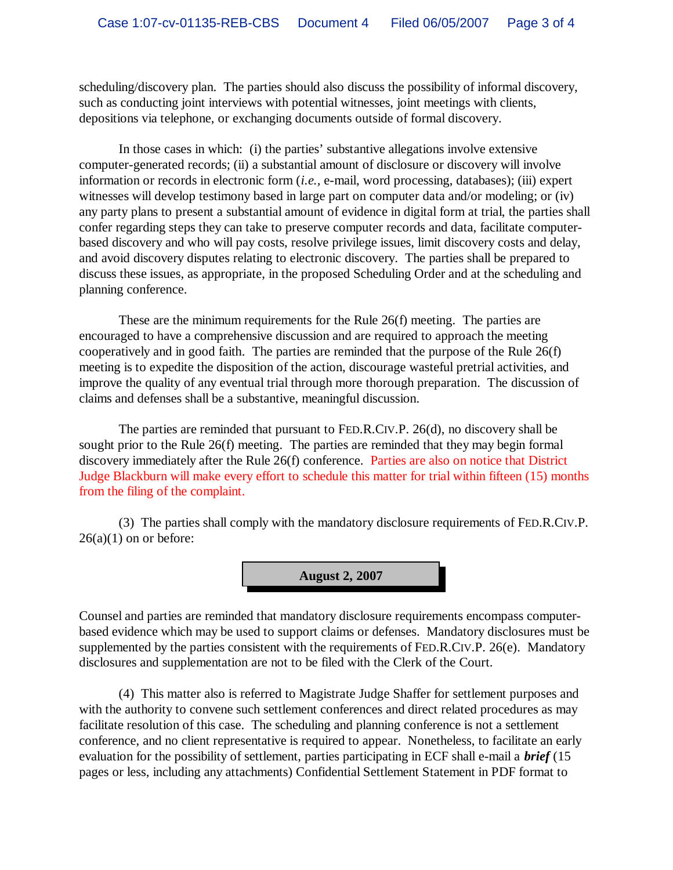scheduling/discovery plan. The parties should also discuss the possibility of informal discovery, such as conducting joint interviews with potential witnesses, joint meetings with clients, depositions via telephone, or exchanging documents outside of formal discovery.

In those cases in which: (i) the parties' substantive allegations involve extensive computer-generated records; (ii) a substantial amount of disclosure or discovery will involve information or records in electronic form (*i.e.,* e-mail, word processing, databases); (iii) expert witnesses will develop testimony based in large part on computer data and/or modeling; or (iv) any party plans to present a substantial amount of evidence in digital form at trial, the parties shall confer regarding steps they can take to preserve computer records and data, facilitate computerbased discovery and who will pay costs, resolve privilege issues, limit discovery costs and delay, and avoid discovery disputes relating to electronic discovery. The parties shall be prepared to discuss these issues, as appropriate, in the proposed Scheduling Order and at the scheduling and planning conference.

These are the minimum requirements for the Rule 26(f) meeting. The parties are encouraged to have a comprehensive discussion and are required to approach the meeting cooperatively and in good faith. The parties are reminded that the purpose of the Rule 26(f) meeting is to expedite the disposition of the action, discourage wasteful pretrial activities, and improve the quality of any eventual trial through more thorough preparation. The discussion of claims and defenses shall be a substantive, meaningful discussion.

The parties are reminded that pursuant to FED.R.CIV.P. 26(d), no discovery shall be sought prior to the Rule 26(f) meeting. The parties are reminded that they may begin formal discovery immediately after the Rule 26(f) conference. Parties are also on notice that District Judge Blackburn will make every effort to schedule this matter for trial within fifteen (15) months from the filing of the complaint.

(3) The parties shall comply with the mandatory disclosure requirements of FED.R.CIV.P.  $26(a)(1)$  on or before:



Counsel and parties are reminded that mandatory disclosure requirements encompass computerbased evidence which may be used to support claims or defenses. Mandatory disclosures must be supplemented by the parties consistent with the requirements of FED.R.CIV.P. 26(e). Mandatory disclosures and supplementation are not to be filed with the Clerk of the Court.

(4) This matter also is referred to Magistrate Judge Shaffer for settlement purposes and with the authority to convene such settlement conferences and direct related procedures as may facilitate resolution of this case. The scheduling and planning conference is not a settlement conference, and no client representative is required to appear. Nonetheless, to facilitate an early evaluation for the possibility of settlement, parties participating in ECF shall e-mail a *brief* (15 pages or less, including any attachments) Confidential Settlement Statement in PDF format to